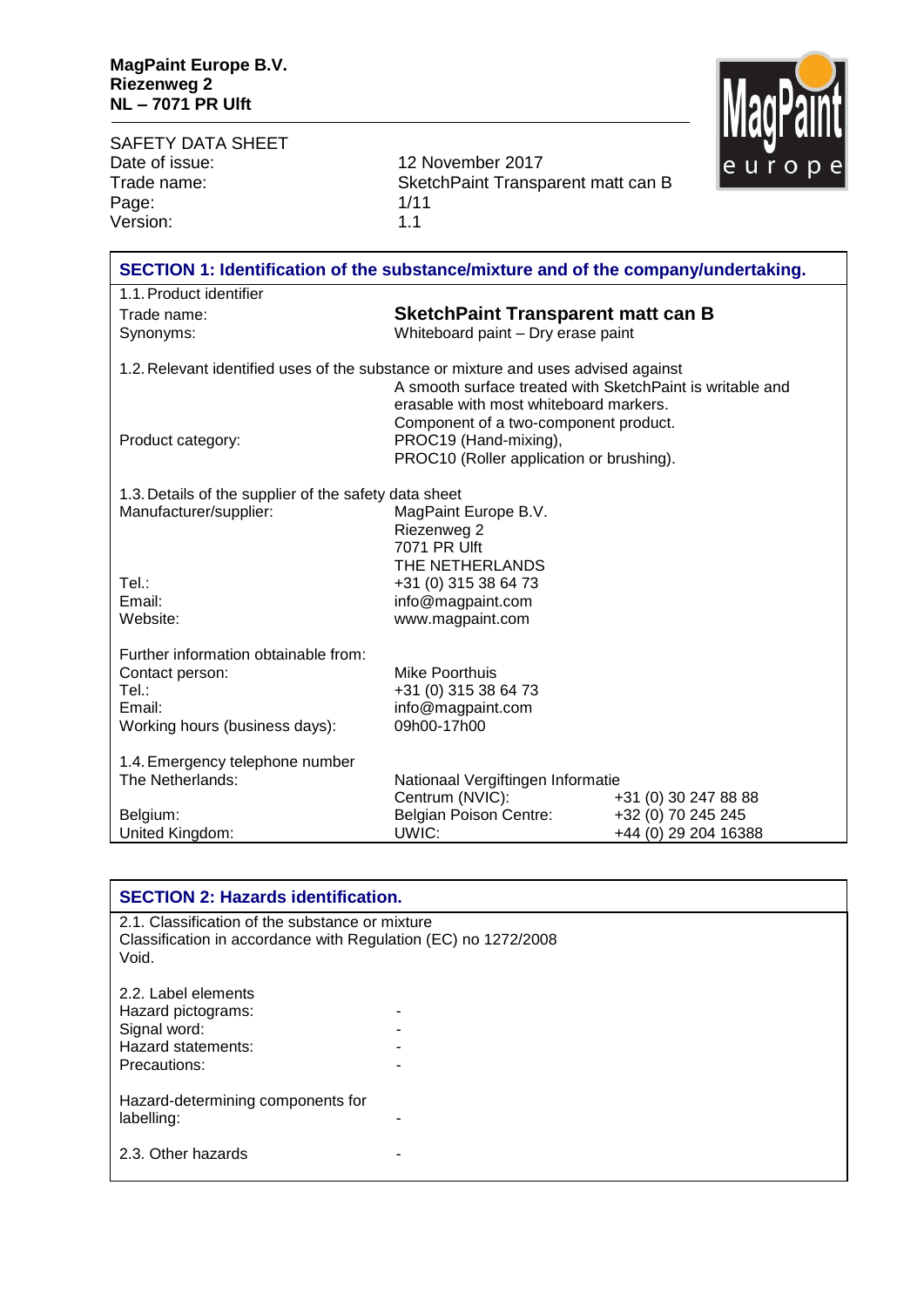$\mathbf{r}$ 

MagPaint

| <b>SAFETY DATA SHEET</b>                                                           |                                                                |                      | шту. |
|------------------------------------------------------------------------------------|----------------------------------------------------------------|----------------------|------|
| Date of issue:                                                                     | 12 November 2017                                               |                      |      |
| Trade name:                                                                        | SketchPaint Transparent matt can B                             |                      |      |
| Page:<br>Version:                                                                  | 1/11<br>1.1                                                    |                      |      |
|                                                                                    |                                                                |                      |      |
| SECTION 1: Identification of the substance/mixture and of the company/undertaking. |                                                                |                      |      |
| 1.1. Product identifier                                                            |                                                                |                      |      |
| Trade name:                                                                        | <b>SketchPaint Transparent matt can B</b>                      |                      |      |
| Synonyms:                                                                          | Whiteboard paint - Dry erase paint                             |                      |      |
| 1.2. Relevant identified uses of the substance or mixture and uses advised against | A smooth surface treated with SketchPaint is writable and      |                      |      |
|                                                                                    | erasable with most whiteboard markers.                         |                      |      |
| Product category:                                                                  | Component of a two-component product.<br>PROC19 (Hand-mixing), |                      |      |
|                                                                                    | PROC10 (Roller application or brushing).                       |                      |      |
| 1.3. Details of the supplier of the safety data sheet                              |                                                                |                      |      |
| Manufacturer/supplier:                                                             | MagPaint Europe B.V.                                           |                      |      |
|                                                                                    | Riezenweg 2                                                    |                      |      |
|                                                                                    | 7071 PR Ulft<br>THE NETHERLANDS                                |                      |      |
| Tel.∶                                                                              | +31 (0) 315 38 64 73                                           |                      |      |
| Email:                                                                             | info@magpaint.com                                              |                      |      |
| Website:                                                                           | www.magpaint.com                                               |                      |      |
| Further information obtainable from:                                               |                                                                |                      |      |
| Contact person:                                                                    | <b>Mike Poorthuis</b>                                          |                      |      |
| Tel.:                                                                              | +31 (0) 315 38 64 73                                           |                      |      |
| Email:                                                                             | info@magpaint.com<br>09h00-17h00                               |                      |      |
| Working hours (business days):                                                     |                                                                |                      |      |
| 1.4. Emergency telephone number                                                    |                                                                |                      |      |
| The Netherlands:                                                                   | Nationaal Vergiftingen Informatie<br>Centrum (NVIC):           | +31 (0) 30 247 88 88 |      |
| Belgium:                                                                           | Belgian Poison Centre:                                         | +32 (0) 70 245 245   |      |
| United Kingdom:                                                                    | UWIC:                                                          | +44 (0) 29 204 16388 |      |
|                                                                                    |                                                                |                      |      |

| <b>SECTION 2: Hazards identification.</b>                                                                                  |  |  |  |
|----------------------------------------------------------------------------------------------------------------------------|--|--|--|
| 2.1. Classification of the substance or mixture<br>Classification in accordance with Regulation (EC) no 1272/2008<br>Void. |  |  |  |
| 2.2. Label elements<br>Hazard pictograms:<br>Signal word:<br>Hazard statements:<br>Precautions:                            |  |  |  |
| Hazard-determining components for<br>labelling:                                                                            |  |  |  |
| 2.3. Other hazards                                                                                                         |  |  |  |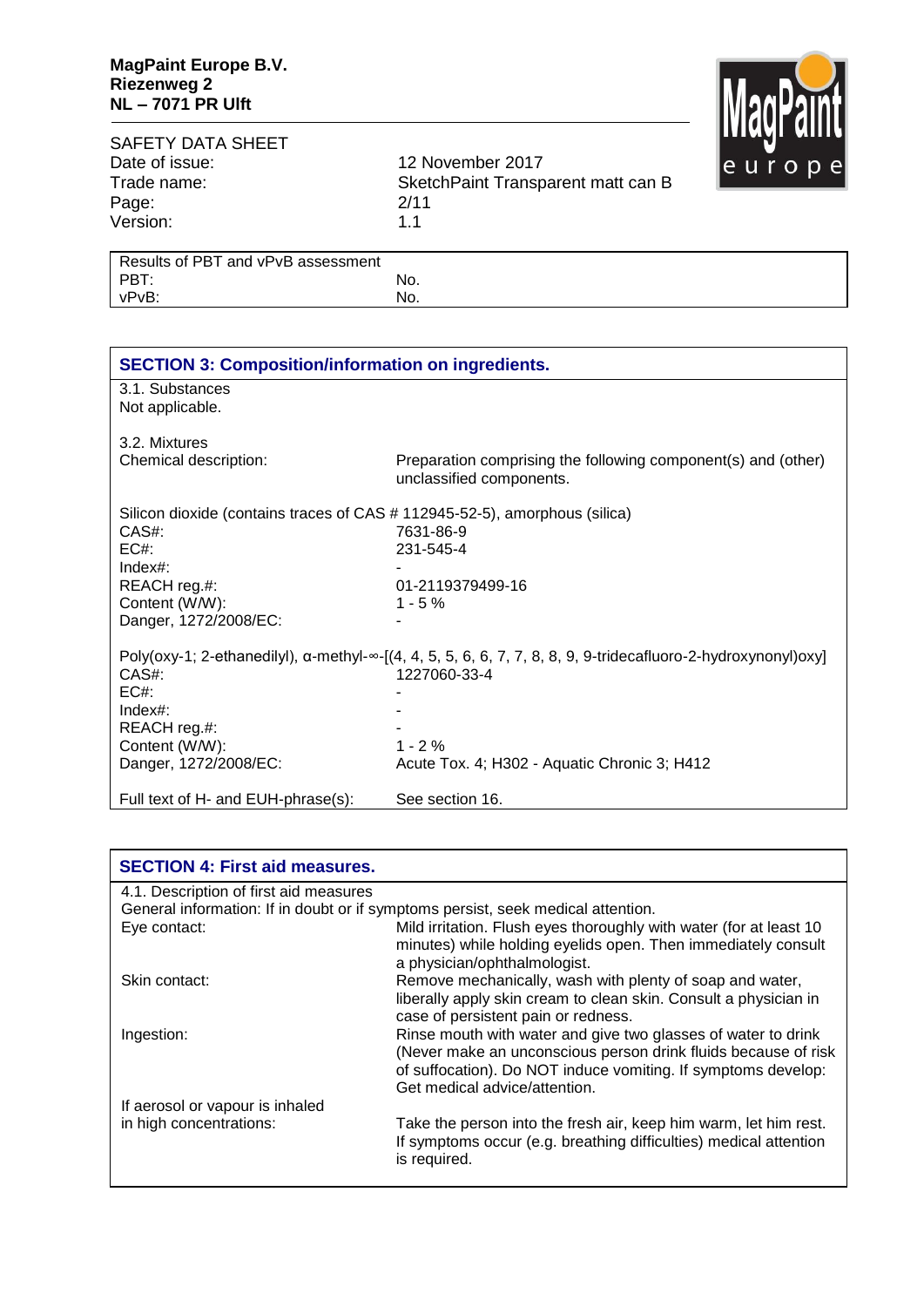

## SAFETY DATA SHEET<br>Date of issue: Date of issue: 12 November 2017<br>Trade name: 5 SketchPaint Transport Page: 2/11<br>Version: 2011 Version:

SketchPaint Transparent matt can B<br>2/11

| Results of PBT and vPvB assessment |     |
|------------------------------------|-----|
| PBT:                               | No. |
| vPvB:                              | No. |

| <b>SECTION 3: Composition/information on ingredients.</b>                  |                                                                                                                                |
|----------------------------------------------------------------------------|--------------------------------------------------------------------------------------------------------------------------------|
| 3.1. Substances<br>Not applicable.                                         |                                                                                                                                |
| 3.2. Mixtures                                                              |                                                                                                                                |
| Chemical description:                                                      | Preparation comprising the following component(s) and (other)<br>unclassified components.                                      |
| Silicon dioxide (contains traces of CAS # 112945-52-5), amorphous (silica) |                                                                                                                                |
| CAS#:                                                                      | 7631-86-9                                                                                                                      |
| EC#                                                                        | 231-545-4                                                                                                                      |
| $Index#$ :                                                                 |                                                                                                                                |
| REACH reg.#:                                                               | 01-2119379499-16                                                                                                               |
| Content (W/W):                                                             | $1 - 5\%$                                                                                                                      |
| Danger, 1272/2008/EC:                                                      |                                                                                                                                |
|                                                                            | Poly(oxy-1; 2-ethanedilyl), $\alpha$ -methyl- $\infty$ -[(4, 4, 5, 5, 6, 6, 7, 7, 8, 8, 9, 9-tridecafluoro-2-hydroxynonyl)oxy] |
| CAS#:                                                                      | 1227060-33-4                                                                                                                   |
| EC#                                                                        |                                                                                                                                |
| Index#:                                                                    |                                                                                                                                |
| REACH reg.#:                                                               |                                                                                                                                |
| Content (W/W):                                                             | $1 - 2%$                                                                                                                       |
| Danger, 1272/2008/EC:                                                      | Acute Tox. 4; H302 - Aquatic Chronic 3; H412                                                                                   |
| Full text of H- and EUH-phrase(s):                                         | See section 16.                                                                                                                |

| <b>SECTION 4: First aid measures.</b>  |                                                                                                                                                                                                                                   |
|----------------------------------------|-----------------------------------------------------------------------------------------------------------------------------------------------------------------------------------------------------------------------------------|
| 4.1. Description of first aid measures |                                                                                                                                                                                                                                   |
|                                        | General information: If in doubt or if symptoms persist, seek medical attention.                                                                                                                                                  |
| Eye contact:                           | Mild irritation. Flush eyes thoroughly with water (for at least 10<br>minutes) while holding eyelids open. Then immediately consult<br>a physician/ophthalmologist.                                                               |
| Skin contact:                          | Remove mechanically, wash with plenty of soap and water,<br>liberally apply skin cream to clean skin. Consult a physician in<br>case of persistent pain or redness.                                                               |
| Ingestion:                             | Rinse mouth with water and give two glasses of water to drink<br>(Never make an unconscious person drink fluids because of risk<br>of suffocation). Do NOT induce vomiting. If symptoms develop:<br>Get medical advice/attention. |
| If aerosol or vapour is inhaled        |                                                                                                                                                                                                                                   |
| in high concentrations:                | Take the person into the fresh air, keep him warm, let him rest.<br>If symptoms occur (e.g. breathing difficulties) medical attention<br>is required.                                                                             |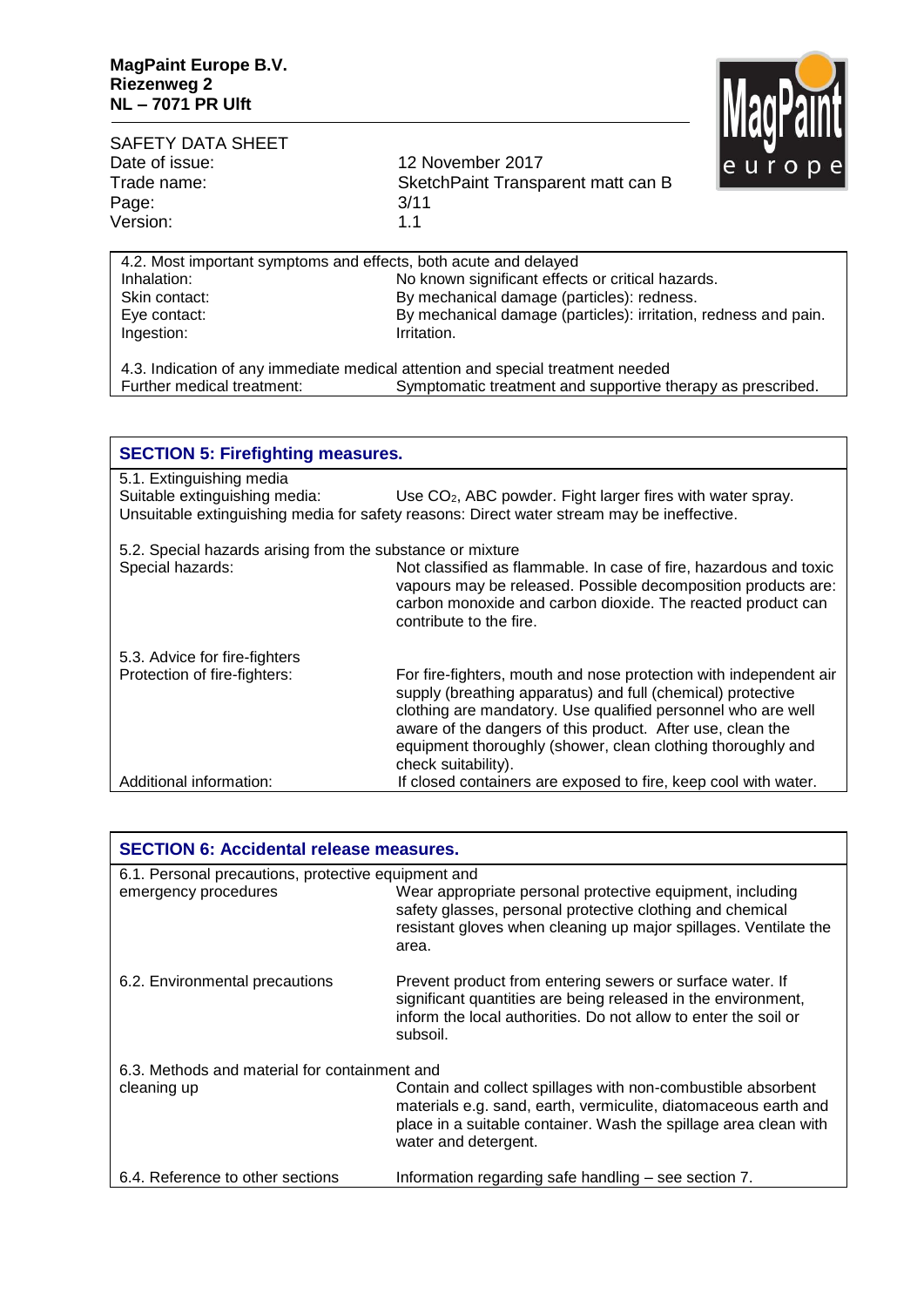

| SAFETY DATA SHEET<br>Date of issue:<br>Trade name:<br>Page:<br>Version: | 12 November 2017<br>SketchPaint Transparent matt can B<br>3/11<br>1.1 | ПИМИ МП<br>le u r o p |
|-------------------------------------------------------------------------|-----------------------------------------------------------------------|-----------------------|
| 4.2. Most important symptoms and effects, both acute and delayed        |                                                                       |                       |
| Inhalation:                                                             | No known significant effects or critical hazards.                     |                       |
| Skin contact:                                                           | By mechanical damage (particles): redness.                            |                       |
| Eye contact:                                                            | By mechanical damage (particles): irritation, redness and pain.       |                       |
| Ingestion:                                                              | Irritation.                                                           |                       |

| 4.3. Indication of any immediate medical attention and special treatment needed |                                                             |  |  |  |
|---------------------------------------------------------------------------------|-------------------------------------------------------------|--|--|--|
| Further medical treatment:                                                      | Symptomatic treatment and supportive therapy as prescribed. |  |  |  |

| <b>SECTION 5: Firefighting measures.</b>                                       |                                                                                                                                                                                                                                                                                                                                                      |  |  |  |
|--------------------------------------------------------------------------------|------------------------------------------------------------------------------------------------------------------------------------------------------------------------------------------------------------------------------------------------------------------------------------------------------------------------------------------------------|--|--|--|
| 5.1. Extinguishing media<br>Suitable extinguishing media:                      | Use CO <sub>2</sub> , ABC powder. Fight larger fires with water spray.<br>Unsuitable extinguishing media for safety reasons: Direct water stream may be ineffective.                                                                                                                                                                                 |  |  |  |
| 5.2. Special hazards arising from the substance or mixture<br>Special hazards: | Not classified as flammable. In case of fire, hazardous and toxic<br>vapours may be released. Possible decomposition products are:<br>carbon monoxide and carbon dioxide. The reacted product can<br>contribute to the fire.                                                                                                                         |  |  |  |
| 5.3. Advice for fire-fighters<br>Protection of fire-fighters:                  | For fire-fighters, mouth and nose protection with independent air<br>supply (breathing apparatus) and full (chemical) protective<br>clothing are mandatory. Use qualified personnel who are well<br>aware of the dangers of this product. After use, clean the<br>equipment thoroughly (shower, clean clothing thoroughly and<br>check suitability). |  |  |  |
| Additional information:                                                        | If closed containers are exposed to fire, keep cool with water.                                                                                                                                                                                                                                                                                      |  |  |  |

| <b>SECTION 6: Accidental release measures.</b>      |                                                                                                                                                                                                                             |  |  |
|-----------------------------------------------------|-----------------------------------------------------------------------------------------------------------------------------------------------------------------------------------------------------------------------------|--|--|
| 6.1. Personal precautions, protective equipment and |                                                                                                                                                                                                                             |  |  |
| emergency procedures                                | Wear appropriate personal protective equipment, including<br>safety glasses, personal protective clothing and chemical<br>resistant gloves when cleaning up major spillages. Ventilate the<br>area.                         |  |  |
| 6.2. Environmental precautions                      | Prevent product from entering sewers or surface water. If<br>significant quantities are being released in the environment,<br>inform the local authorities. Do not allow to enter the soil or<br>subsoil.                   |  |  |
| 6.3. Methods and material for containment and       |                                                                                                                                                                                                                             |  |  |
| cleaning up                                         | Contain and collect spillages with non-combustible absorbent<br>materials e.g. sand, earth, vermiculite, diatomaceous earth and<br>place in a suitable container. Wash the spillage area clean with<br>water and detergent. |  |  |
| 6.4. Reference to other sections                    | Information regarding safe handling – see section 7.                                                                                                                                                                        |  |  |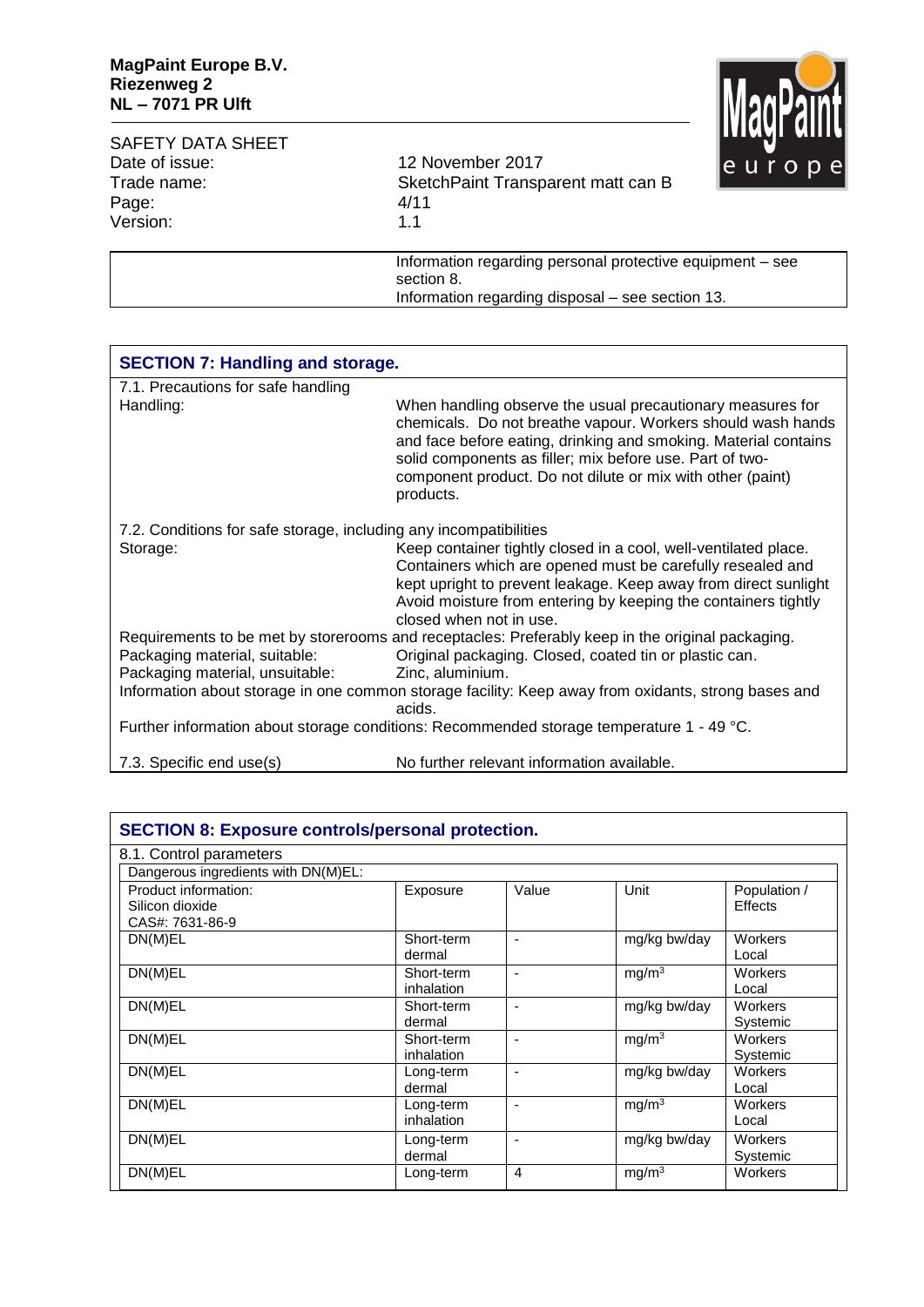

| <b>SAFETY DATA SHEET</b> |                                                                         | <u>iinnai mi</u> |  |
|--------------------------|-------------------------------------------------------------------------|------------------|--|
| Date of issue:           | 12 November 2017                                                        | le u r o r       |  |
| Trade name:              | SketchPaint Transparent matt can B                                      |                  |  |
| Page:                    | 4/11                                                                    |                  |  |
| Version:                 | 1.1                                                                     |                  |  |
|                          | Information regarding personal protective equipment – see<br>section 8. |                  |  |

Information regarding disposal – see section 13.

| <b>SECTION 7: Handling and storage.</b>                           |                                                                                                                                                                                                                                                                                                                                     |  |  |
|-------------------------------------------------------------------|-------------------------------------------------------------------------------------------------------------------------------------------------------------------------------------------------------------------------------------------------------------------------------------------------------------------------------------|--|--|
| 7.1. Precautions for safe handling                                |                                                                                                                                                                                                                                                                                                                                     |  |  |
| Handling:                                                         | When handling observe the usual precautionary measures for<br>chemicals. Do not breathe vapour. Workers should wash hands<br>and face before eating, drinking and smoking. Material contains<br>solid components as filler; mix before use. Part of two-<br>component product. Do not dilute or mix with other (paint)<br>products. |  |  |
| 7.2. Conditions for safe storage, including any incompatibilities |                                                                                                                                                                                                                                                                                                                                     |  |  |
| Storage:                                                          | Keep container tightly closed in a cool, well-ventilated place.<br>Containers which are opened must be carefully resealed and<br>kept upright to prevent leakage. Keep away from direct sunlight<br>Avoid moisture from entering by keeping the containers tightly<br>closed when not in use.                                       |  |  |
| Packaging material, suitable:                                     | Requirements to be met by storerooms and receptacles: Preferably keep in the original packaging.<br>Original packaging. Closed, coated tin or plastic can.                                                                                                                                                                          |  |  |
| Packaging material, unsuitable:                                   | Zinc, aluminium.                                                                                                                                                                                                                                                                                                                    |  |  |
|                                                                   | Information about storage in one common storage facility: Keep away from oxidants, strong bases and<br>acids.                                                                                                                                                                                                                       |  |  |
|                                                                   | Further information about storage conditions: Recommended storage temperature 1 - 49 °C.                                                                                                                                                                                                                                            |  |  |
| 7.3. Specific end use(s)                                          | No further relevant information available.                                                                                                                                                                                                                                                                                          |  |  |

| <b>SECTION 8: Exposure controls/personal protection.</b>   |                          |       |                   |                         |
|------------------------------------------------------------|--------------------------|-------|-------------------|-------------------------|
| 8.1. Control parameters                                    |                          |       |                   |                         |
| Dangerous ingredients with DN(M)EL:                        |                          |       |                   |                         |
| Product information:<br>Silicon dioxide<br>CAS#: 7631-86-9 | Exposure                 | Value | Unit              | Population /<br>Effects |
| DN(M)EL                                                    | Short-term<br>dermal     | ۰     | mg/kg bw/day      | Workers<br>Local        |
| DN(M)EL                                                    | Short-term<br>inhalation |       | mg/m <sup>3</sup> | <b>Workers</b><br>Local |
| DN(M)EL                                                    | Short-term<br>dermal     |       | mg/kg bw/day      | Workers<br>Systemic     |
| DN(M)EL                                                    | Short-term<br>inhalation |       | mg/m <sup>3</sup> | Workers<br>Systemic     |
| DN(M)EL                                                    | Long-term<br>dermal      |       | mg/kg bw/day      | <b>Workers</b><br>Local |
| DN(M)EL                                                    | Long-term<br>inhalation  |       | mg/m <sup>3</sup> | Workers<br>Local        |
| DN(M)EL                                                    | Long-term<br>dermal      |       | mg/kg bw/day      | Workers<br>Systemic     |
| DN(M)EL                                                    | Long-term                | 4     | mg/m <sup>3</sup> | Workers                 |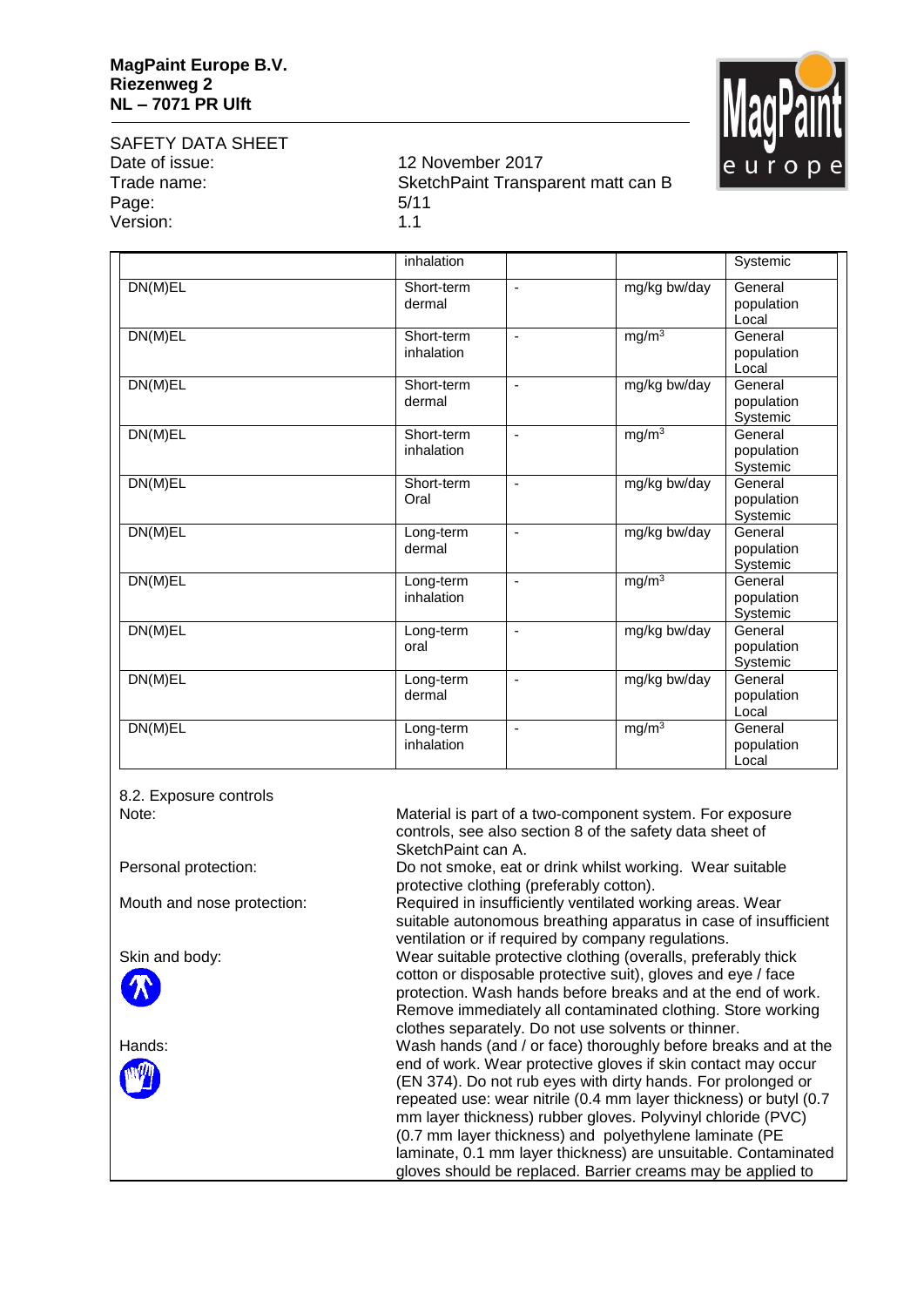

SAFETY DATA SHEET Date of issue: 12 November 2017 Page: 5/11 Version: 1.1

Trade name: SketchPaint Transparent matt can B

|                      | inhalation               |                          |                   | Systemic                          |
|----------------------|--------------------------|--------------------------|-------------------|-----------------------------------|
| DN(M)EL              | Short-term<br>dermal     | $\blacksquare$           | mg/kg bw/day      | General<br>population<br>Local    |
| DN(M)EL              | Short-term<br>inhalation | $\overline{\phantom{a}}$ | $mg/m^3$          | General<br>population<br>Local    |
| $DN(\overline{M)EL}$ | Short-term<br>dermal     | $\blacksquare$           | mg/kg bw/day      | General<br>population<br>Systemic |
| DN(M)EL              | Short-term<br>inhalation | $\overline{\phantom{a}}$ | $mg/m^3$          | General<br>population<br>Systemic |
| DN(M)EL              | Short-term<br>Oral       | $\blacksquare$           | mg/kg bw/day      | General<br>population<br>Systemic |
| DN(M)EL              | Long-term<br>dermal      | $\blacksquare$           | mg/kg bw/day      | General<br>population<br>Systemic |
| $DN(M)\overline{EL}$ | Long-term<br>inhalation  | $\blacksquare$           | mg/m <sup>3</sup> | General<br>population<br>Systemic |
| DN(M)EL              | Long-term<br>oral        | ÷,                       | mg/kg bw/day      | General<br>population<br>Systemic |
| DN(M)EL              | Long-term<br>dermal      | ä,                       | mg/kg bw/day      | General<br>population<br>Local    |
| DN(M)EL              | Long-term<br>inhalation  | $\blacksquare$           | mg/m <sup>3</sup> | General<br>population<br>Local    |

8.2. Exposure controls





Note: Material is part of a two-component system. For exposure controls, see also section 8 of the safety data sheet of SketchPaint can A.

Personal protection: Do not smoke, eat or drink whilst working. Wear suitable protective clothing (preferably cotton).

Mouth and nose protection: Required in insufficiently ventilated working areas. Wear suitable autonomous breathing apparatus in case of insufficient ventilation or if required by company regulations. Skin and body: Wear suitable protective clothing (overalls, preferably thick cotton or disposable protective suit), gloves and eye / face protection. Wash hands before breaks and at the end of work. Remove immediately all contaminated clothing. Store working clothes separately. Do not use solvents or thinner. Hands: Wash hands (and / or face) thoroughly before breaks and at the end of work. Wear protective gloves if skin contact may occur (EN 374). Do not rub eyes with dirty hands. For prolonged or repeated use: wear nitrile (0.4 mm layer thickness) or butyl (0.7 mm layer thickness) rubber gloves. Polyvinyl chloride (PVC) (0.7 mm layer thickness) and polyethylene laminate (PE laminate, 0.1 mm layer thickness) are unsuitable. Contaminated gloves should be replaced. Barrier creams may be applied to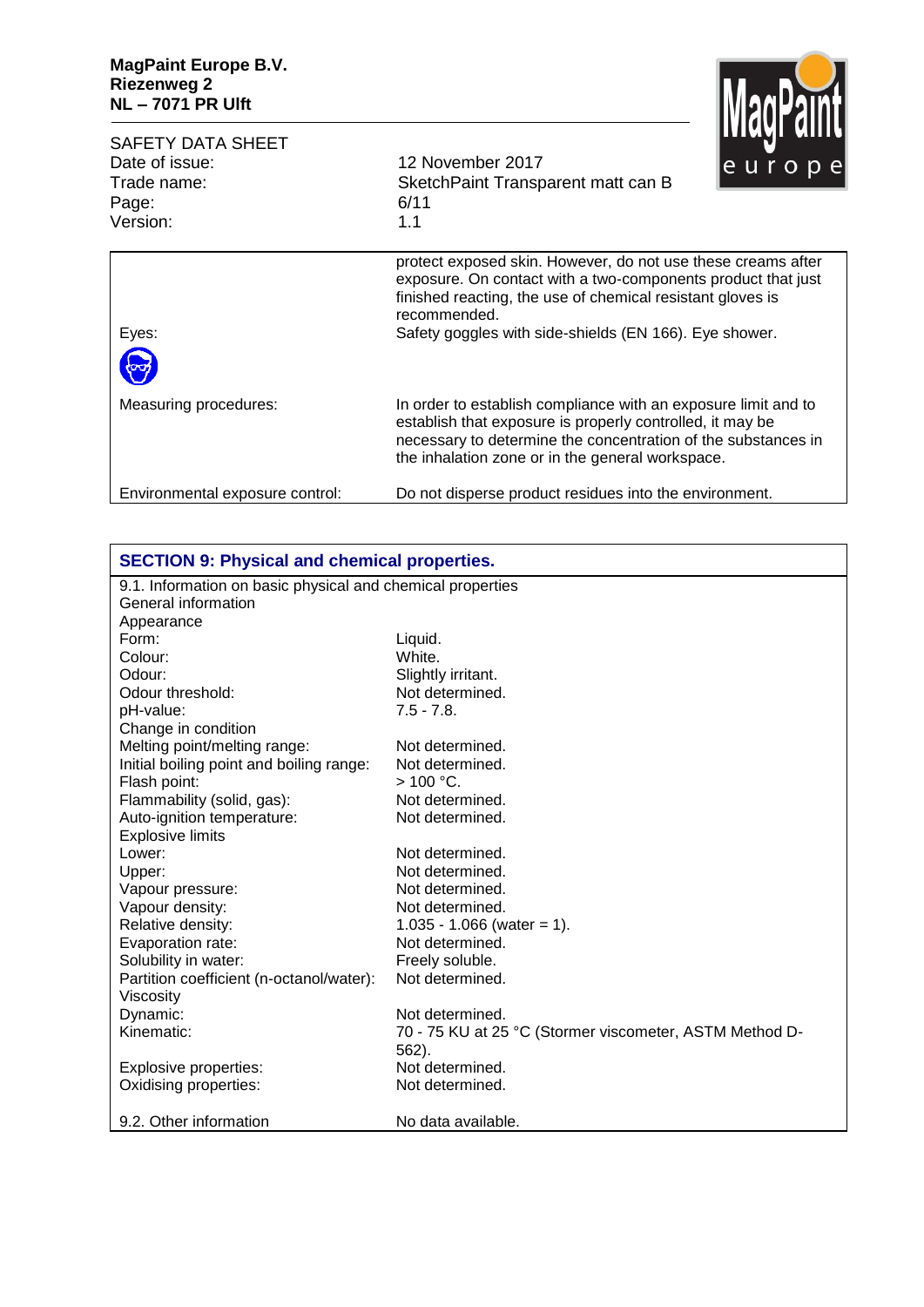

| <b>SAFETY DATA SHEET</b><br>Date of issue:<br>Trade name: | 12 November 2017<br>SketchPaint Transparent matt can B                                                                                                                                                                                                               | <b>TARAT NILLA</b><br>europe |
|-----------------------------------------------------------|----------------------------------------------------------------------------------------------------------------------------------------------------------------------------------------------------------------------------------------------------------------------|------------------------------|
| Page:<br>Version:                                         | 6/11<br>1.1                                                                                                                                                                                                                                                          |                              |
| Eyes:                                                     | protect exposed skin. However, do not use these creams after<br>exposure. On contact with a two-components product that just<br>finished reacting, the use of chemical resistant gloves is<br>recommended.<br>Safety goggles with side-shields (EN 166). Eye shower. |                              |
|                                                           |                                                                                                                                                                                                                                                                      |                              |
| Measuring procedures:                                     | In order to establish compliance with an exposure limit and to<br>establish that exposure is properly controlled, it may be<br>necessary to determine the concentration of the substances in<br>the inhalation zone or in the general workspace.                     |                              |
| Environmental exposure control:                           | Do not disperse product residues into the environment.                                                                                                                                                                                                               |                              |

| <b>SECTION 9: Physical and chemical properties.</b>        |                                                         |  |
|------------------------------------------------------------|---------------------------------------------------------|--|
| 9.1. Information on basic physical and chemical properties |                                                         |  |
| General information                                        |                                                         |  |
| Appearance                                                 |                                                         |  |
| Form:                                                      | Liquid.                                                 |  |
| Colour:                                                    | White.                                                  |  |
| Odour:                                                     | Slightly irritant.                                      |  |
| Odour threshold:                                           | Not determined.                                         |  |
| pH-value:                                                  | $7.5 - 7.8$ .                                           |  |
| Change in condition                                        |                                                         |  |
| Melting point/melting range:                               | Not determined.                                         |  |
| Initial boiling point and boiling range:                   | Not determined.                                         |  |
| Flash point:                                               | $>100 °C$ .                                             |  |
| Flammability (solid, gas):                                 | Not determined.                                         |  |
| Auto-ignition temperature:                                 | Not determined.                                         |  |
| <b>Explosive limits</b>                                    |                                                         |  |
| Lower:                                                     | Not determined.                                         |  |
| Upper:                                                     | Not determined.                                         |  |
| Vapour pressure:                                           | Not determined.                                         |  |
| Vapour density:                                            | Not determined.                                         |  |
| Relative density:                                          | $1.035 - 1.066$ (water = 1).                            |  |
| Evaporation rate:                                          | Not determined.                                         |  |
| Solubility in water:                                       | Freely soluble.                                         |  |
| Partition coefficient (n-octanol/water):                   | Not determined.                                         |  |
| Viscosity                                                  |                                                         |  |
| Dynamic:                                                   | Not determined.                                         |  |
| Kinematic:                                                 | 70 - 75 KU at 25 °C (Stormer viscometer, ASTM Method D- |  |
|                                                            | 562).                                                   |  |
| Explosive properties:                                      | Not determined.                                         |  |
| Oxidising properties:                                      | Not determined.                                         |  |
| 9.2. Other information                                     | No data available.                                      |  |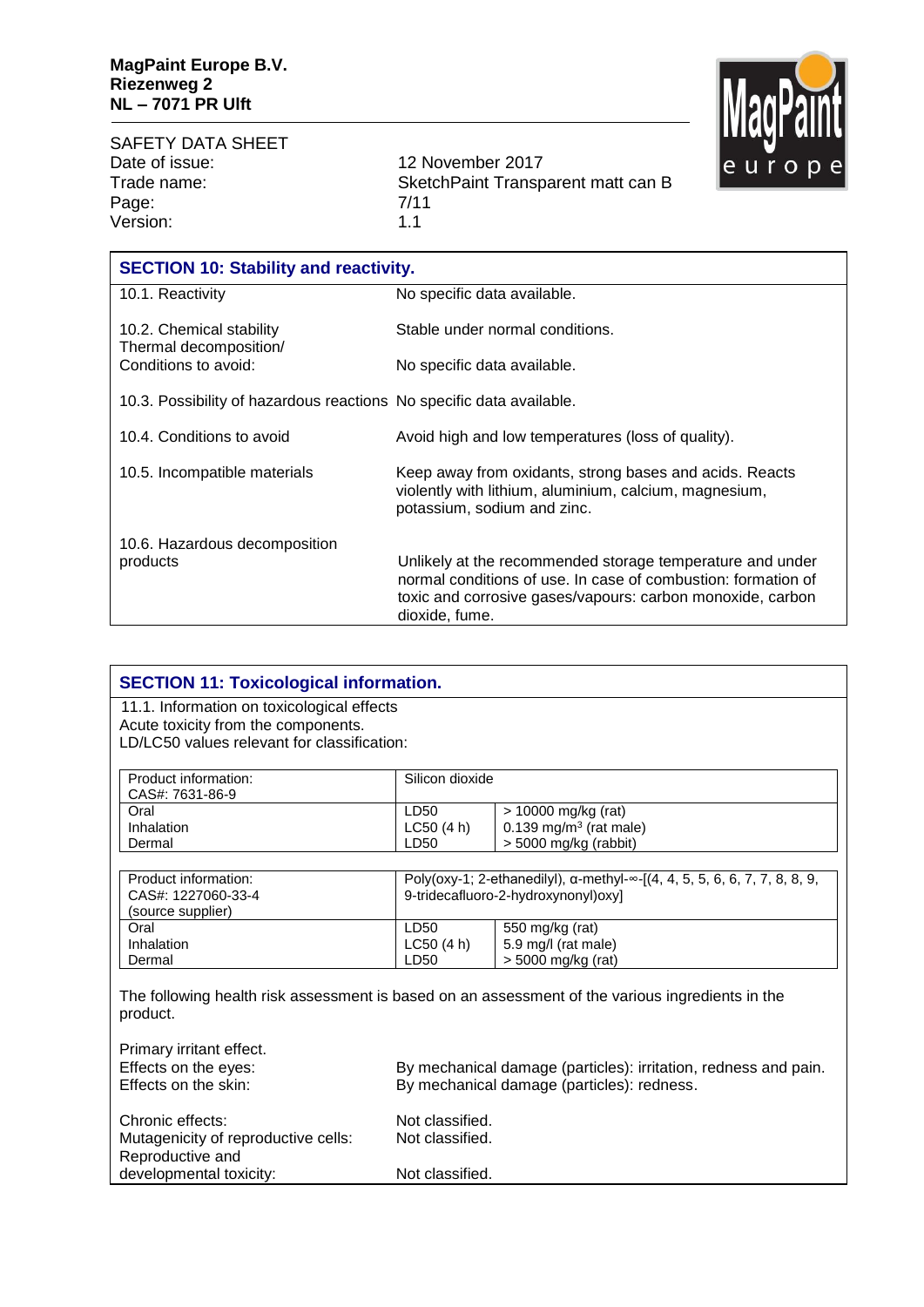SAFETY DATA SHEET Date of issue: 12 November 2017<br>Trade name: 12 November 2017 Page: 7/11 Version: 1.1

SketchPaint Transparent matt can B



## **SECTION 11: Toxicological information.** 11.1. Information on toxicological effects Acute toxicity from the components. LD/LC50 values relevant for classification: Product information: CAS#: 7631-86-9 Silicon dioxide **Oral** Inhalation Dermal LD50  $LCGO(4 h)$ LD50 > 10000 mg/kg (rat)  $0.139$  mg/m $3$  (rat male)  $>$  5000 mg/kg (rabbit) Product information: CAS#: 1227060-33-4 (source supplier) Poly(oxy-1; 2-ethanedilyl), α-methyl-∞-[(4, 4, 5, 5, 6, 6, 7, 7, 8, 8, 9, 9-tridecafluoro-2-hydroxynonyl)oxy] **Oral** Inhalation Dermal LD50 LC50 (4 h) LD50 550 mg/kg (rat) 5.9 mg/l (rat male) > 5000 mg/kg (rat) The following health risk assessment is based on an assessment of the various ingredients in the product. Primary irritant effect. Effects on the eyes: By mechanical damage (particles): irritation, redness and pain. Effects on the skin: By mechanical damage (particles): redness. Chronic effects: Not classified.

Mutagenicity of reproductive cells: Not classified. Reproductive and developmental toxicity: Not classified.

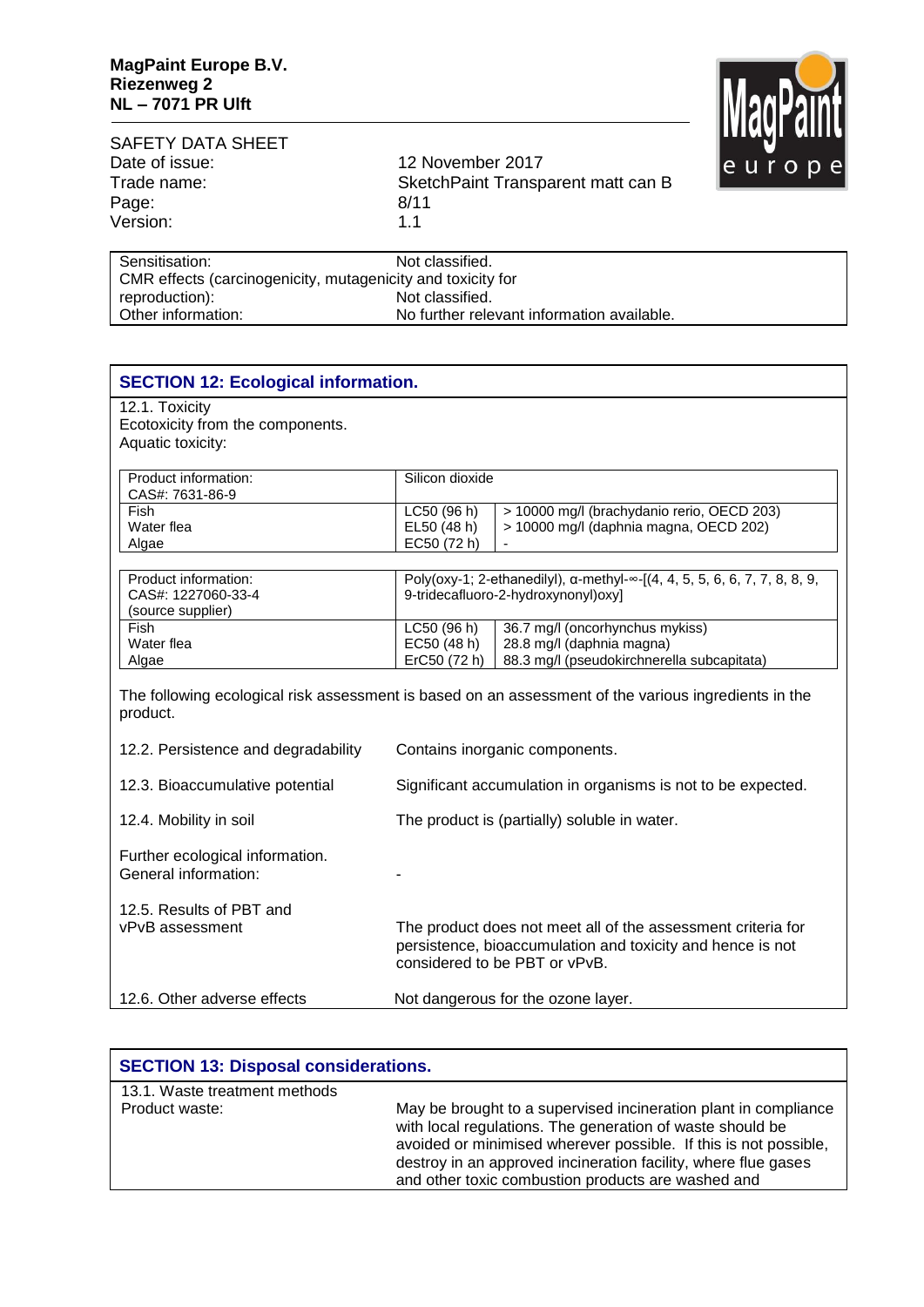

| 12 November 2017                   |   |
|------------------------------------|---|
| SketchPaint Transparent matt can B |   |
| 8/11                               |   |
| 11                                 |   |
|                                    |   |
|                                    | . |

| Sensitisation:                                              | Not classified.                            |
|-------------------------------------------------------------|--------------------------------------------|
| CMR effects (carcinogenicity, mutagenicity and toxicity for |                                            |
| reproduction):                                              | Not classified.                            |
| Other information:                                          | No further relevant information available. |
|                                                             |                                            |

| <b>SECTION 12: Ecological information.</b>                              |                                            |                                                                                                                                                             |
|-------------------------------------------------------------------------|--------------------------------------------|-------------------------------------------------------------------------------------------------------------------------------------------------------------|
| 12.1. Toxicity<br>Ecotoxicity from the components.<br>Aquatic toxicity: |                                            |                                                                                                                                                             |
| Product information:<br>CAS#: 7631-86-9<br>Fish                         | Silicon dioxide<br>LC50(96h)               | > 10000 mg/l (brachydanio rerio, OECD 203)                                                                                                                  |
| Water flea<br>Algae                                                     | EL50 (48 h)<br>EC50 (72 h)                 | > 10000 mg/l (daphnia magna, OECD 202)                                                                                                                      |
| Product information:<br>CAS#: 1227060-33-4<br>(source supplier)         |                                            | Poly(oxy-1; 2-ethanedilyl), a-methyl-∞-[(4, 4, 5, 5, 6, 6, 7, 7, 8, 8, 9,<br>9-tridecafluoro-2-hydroxynonyl)oxy]                                            |
| Fish<br>Water flea<br>Algae                                             | LC50 (96 h)<br>EC50 (48 h)<br>ErC50 (72 h) | 36.7 mg/l (oncorhynchus mykiss)<br>28.8 mg/l (daphnia magna)<br>88.3 mg/l (pseudokirchnerella subcapitata)                                                  |
| product.                                                                |                                            | The following ecological risk assessment is based on an assessment of the various ingredients in the                                                        |
| 12.2. Persistence and degradability                                     |                                            | Contains inorganic components.                                                                                                                              |
| 12.3. Bioaccumulative potential                                         |                                            | Significant accumulation in organisms is not to be expected.                                                                                                |
| 12.4. Mobility in soil                                                  |                                            | The product is (partially) soluble in water.                                                                                                                |
| Further ecological information.<br>General information:                 |                                            |                                                                                                                                                             |
| 12.5. Results of PBT and<br>vPvB assessment                             |                                            | The product does not meet all of the assessment criteria for<br>persistence, bioaccumulation and toxicity and hence is not<br>considered to be PBT or vPvB. |
| 12.6. Other adverse effects                                             |                                            | Not dangerous for the ozone layer.                                                                                                                          |

| <b>SECTION 13: Disposal considerations.</b> |                                                                                                                                                                                                                                                                                                                          |  |
|---------------------------------------------|--------------------------------------------------------------------------------------------------------------------------------------------------------------------------------------------------------------------------------------------------------------------------------------------------------------------------|--|
| 13.1. Waste treatment methods               |                                                                                                                                                                                                                                                                                                                          |  |
| Product waste:                              | May be brought to a supervised incineration plant in compliance<br>with local regulations. The generation of waste should be<br>avoided or minimised wherever possible. If this is not possible,<br>destroy in an approved incineration facility, where flue gases<br>and other toxic combustion products are washed and |  |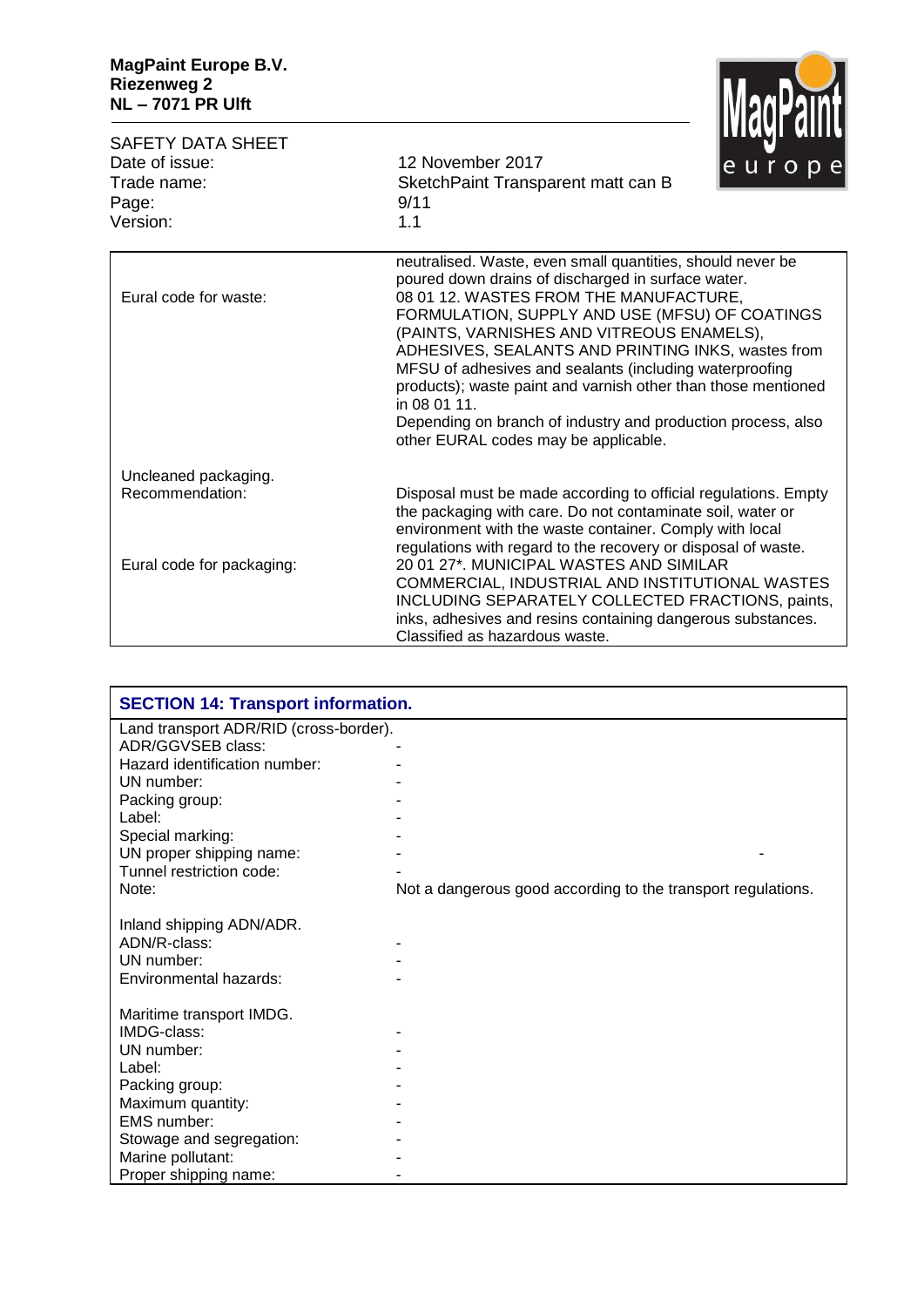

|                                                           |                                                                                                                                                                                                                                                                                                                                                                                                                                                                                                                                                                     | IVIUYI |
|-----------------------------------------------------------|---------------------------------------------------------------------------------------------------------------------------------------------------------------------------------------------------------------------------------------------------------------------------------------------------------------------------------------------------------------------------------------------------------------------------------------------------------------------------------------------------------------------------------------------------------------------|--------|
| <b>SAFETY DATA SHEET</b><br>Date of issue:<br>Trade name: | 12 November 2017<br>SketchPaint Transparent matt can B                                                                                                                                                                                                                                                                                                                                                                                                                                                                                                              | europe |
| Page:                                                     | 9/11                                                                                                                                                                                                                                                                                                                                                                                                                                                                                                                                                                |        |
| Version:                                                  | 1.1                                                                                                                                                                                                                                                                                                                                                                                                                                                                                                                                                                 |        |
| Eural code for waste:                                     | neutralised. Waste, even small quantities, should never be<br>poured down drains of discharged in surface water.<br>08 01 12. WASTES FROM THE MANUFACTURE,<br>FORMULATION, SUPPLY AND USE (MFSU) OF COATINGS<br>(PAINTS, VARNISHES AND VITREOUS ENAMELS),<br>ADHESIVES, SEALANTS AND PRINTING INKS, wastes from<br>MFSU of adhesives and sealants (including waterproofing<br>products); waste paint and varnish other than those mentioned<br>in 08 01 11.<br>Depending on branch of industry and production process, also<br>other EURAL codes may be applicable. |        |
| Uncleaned packaging.                                      |                                                                                                                                                                                                                                                                                                                                                                                                                                                                                                                                                                     |        |
| Recommendation:                                           | Disposal must be made according to official regulations. Empty<br>the packaging with care. Do not contaminate soil, water or<br>environment with the waste container. Comply with local<br>regulations with regard to the recovery or disposal of waste.                                                                                                                                                                                                                                                                                                            |        |
| Eural code for packaging:                                 | 20 01 27*, MUNICIPAL WASTES AND SIMILAR<br>COMMERCIAL, INDUSTRIAL AND INSTITUTIONAL WASTES<br>INCLUDING SEPARATELY COLLECTED FRACTIONS, paints,<br>inks, adhesives and resins containing dangerous substances.<br>Classified as hazardous waste.                                                                                                                                                                                                                                                                                                                    |        |

| <b>SECTION 14: Transport information.</b> |                                                              |  |
|-------------------------------------------|--------------------------------------------------------------|--|
| Land transport ADR/RID (cross-border).    |                                                              |  |
| ADR/GGVSEB class:                         |                                                              |  |
| Hazard identification number:             |                                                              |  |
| UN number:                                |                                                              |  |
| Packing group:                            |                                                              |  |
| Label:                                    |                                                              |  |
| Special marking:                          |                                                              |  |
| UN proper shipping name:                  |                                                              |  |
| Tunnel restriction code:                  |                                                              |  |
| Note:                                     | Not a dangerous good according to the transport regulations. |  |
|                                           |                                                              |  |
| Inland shipping ADN/ADR.                  |                                                              |  |
| ADN/R-class:                              |                                                              |  |
| UN number:                                |                                                              |  |
| Environmental hazards:                    |                                                              |  |
|                                           |                                                              |  |
| Maritime transport IMDG.                  |                                                              |  |
| IMDG-class:                               |                                                              |  |
| UN number:                                |                                                              |  |
| Label:                                    |                                                              |  |
| Packing group:                            |                                                              |  |
| Maximum quantity:                         |                                                              |  |
| EMS number:                               |                                                              |  |
| Stowage and segregation:                  |                                                              |  |
| Marine pollutant:                         |                                                              |  |
| Proper shipping name:                     |                                                              |  |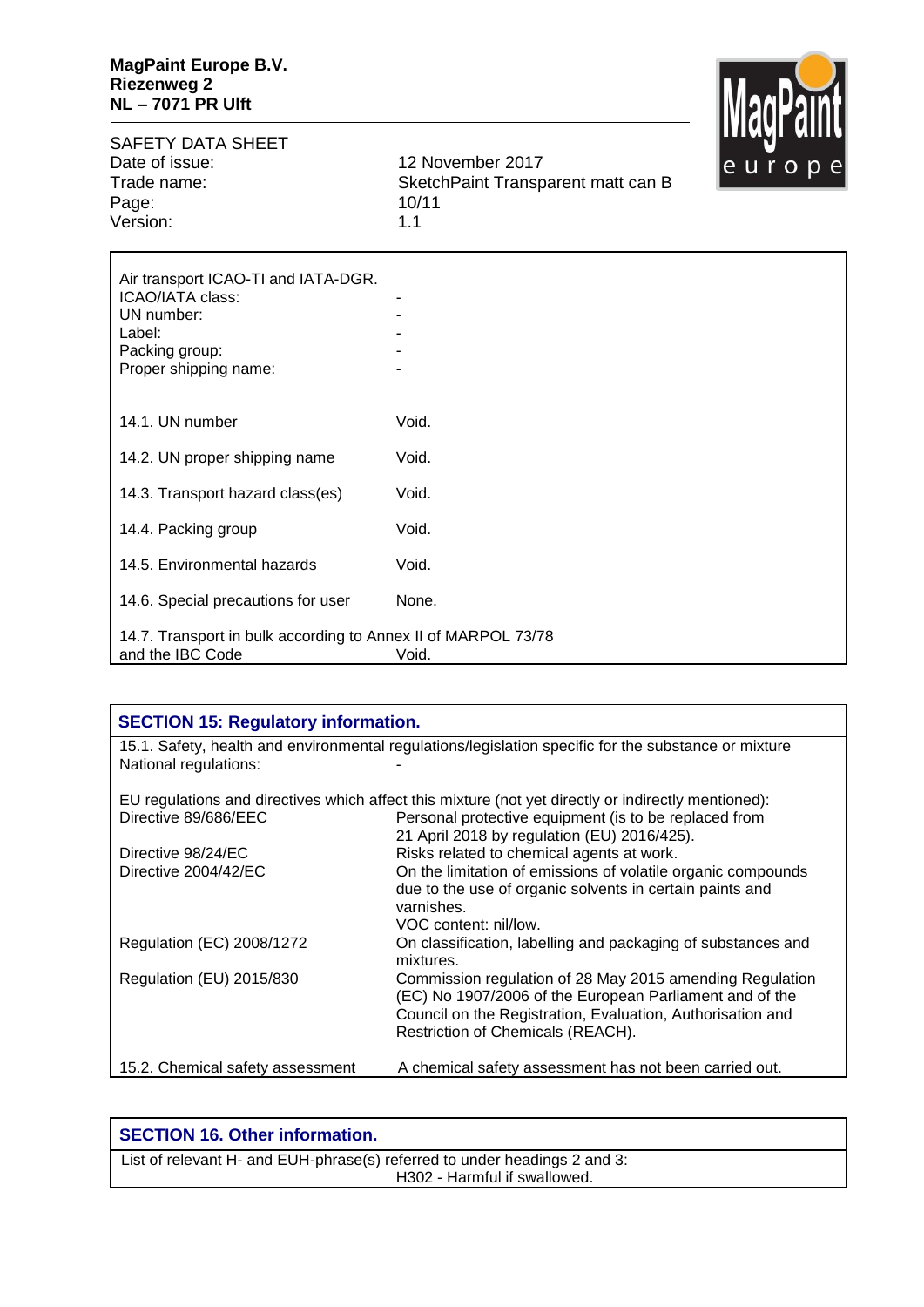

SAFETY DATA SHEET<br>Date of issue: Date of issue: 12 November 2017<br>Trade name: 13 SketchPaint Transpace Page: 10/11/11/2012 10/11/11 Version:

SketchPaint Transparent matt can B<br>10/11

| Air transport ICAO-TI and IATA-DGR.<br>ICAO/IATA class:<br>UN number:<br>Label:<br>Packing group:<br>Proper shipping name: |       |
|----------------------------------------------------------------------------------------------------------------------------|-------|
| 14.1. UN number                                                                                                            | Void. |
| 14.2. UN proper shipping name                                                                                              | Void. |
| 14.3. Transport hazard class(es)                                                                                           | Void. |
| 14.4. Packing group                                                                                                        | Void. |
| 14.5. Environmental hazards                                                                                                | Void. |
| 14.6. Special precautions for user                                                                                         | None. |
| 14.7. Transport in bulk according to Annex II of MARPOL 73/78<br>and the IBC Code                                          | Void. |

| <b>SECTION 15: Regulatory information.</b> |                                                                                                                                                                                                                        |  |
|--------------------------------------------|------------------------------------------------------------------------------------------------------------------------------------------------------------------------------------------------------------------------|--|
| National regulations:                      | 15.1. Safety, health and environmental regulations/legislation specific for the substance or mixture                                                                                                                   |  |
|                                            | EU regulations and directives which affect this mixture (not yet directly or indirectly mentioned):                                                                                                                    |  |
| Directive 89/686/EEC                       | Personal protective equipment (is to be replaced from<br>21 April 2018 by regulation (EU) 2016/425).                                                                                                                   |  |
| Directive 98/24/EC                         | Risks related to chemical agents at work.                                                                                                                                                                              |  |
| Directive 2004/42/EC                       | On the limitation of emissions of volatile organic compounds<br>due to the use of organic solvents in certain paints and<br>varnishes.<br>VOC content: nil/low.                                                        |  |
| Regulation (EC) 2008/1272                  | On classification, labelling and packaging of substances and<br>mixtures.                                                                                                                                              |  |
| Regulation (EU) 2015/830                   | Commission regulation of 28 May 2015 amending Regulation<br>(EC) No 1907/2006 of the European Parliament and of the<br>Council on the Registration, Evaluation, Authorisation and<br>Restriction of Chemicals (REACH). |  |
| 15.2. Chemical safety assessment           | A chemical safety assessment has not been carried out.                                                                                                                                                                 |  |

| <b>SECTION 16. Other information.</b>                                     |
|---------------------------------------------------------------------------|
| List of relevant H- and EUH-phrase(s) referred to under headings 2 and 3: |
| H302 - Harmful if swallowed.                                              |
|                                                                           |